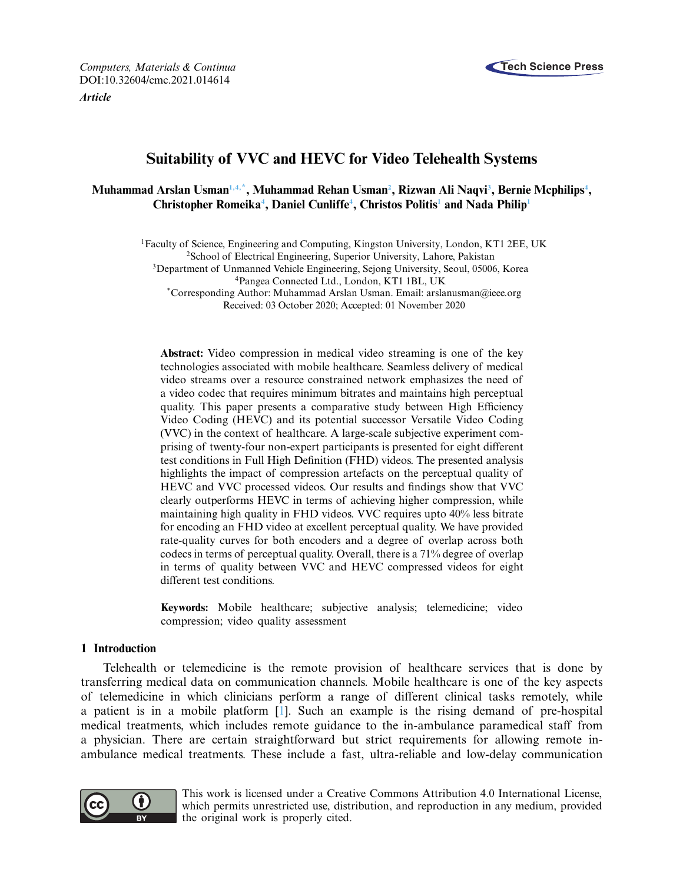

**Article**



# **Suitability of VVC and HEVC for Video Telehealth Systems**

## **Muhammad Arslan Usman[1](#page-0-0)[,4,](#page-0-1)[\\*](#page-0-2) , Muhammad Rehan Usman[2](#page-0-3) , Rizwan Ali Naqvi[3](#page-0-4) , Bernie Mcphilips[4](#page-0-1) , Christopher Romeika[4](#page-0-1) , Daniel Cunliffe[4](#page-0-1) , Christos Politis[1](#page-0-0) and Nada Philip[1](#page-0-0)**

<span id="page-0-0"></span><sup>1</sup>Faculty of Science, Engineering and Computing, Kingston University, London, KT1 2EE, UK

<span id="page-0-3"></span><span id="page-0-1"></span><sup>2</sup>School of Electrical Engineering, Superior University, Lahore, Pakistan

<span id="page-0-4"></span><sup>3</sup>Department of Unmanned Vehicle Engineering, Sejong University, Seoul, 05006, Korea <sup>4</sup>Pangea Connected Ltd., London, KT1 1BL, UK

<span id="page-0-2"></span>\*Corresponding Author: Muhammad Arslan Usman. Email: arslanusman@ieee.org Received: 03 October 2020; Accepted: 01 November 2020

**Abstract:** Video compression in medical video streaming is one of the key technologies associated with mobile healthcare. Seamless delivery of medical video streams over a resource constrained network emphasizes the need of a video codec that requires minimum bitrates and maintains high perceptual quality. This paper presents a comparative study between High Efficiency Video Coding (HEVC) and its potential successor Versatile Video Coding (VVC) in the context of healthcare. A large-scale subjective experiment comprising of twenty-four non-expert participants is presented for eight different test conditions in Full High Definition (FHD) videos. The presented analysis highlights the impact of compression artefacts on the perceptual quality of HEVC and VVC processed videos. Our results and findings show that VVC clearly outperforms HEVC in terms of achieving higher compression, while maintaining high quality in FHD videos. VVC requires upto 40% less bitrate for encoding an FHD video at excellent perceptual quality. We have provided rate-quality curves for both encoders and a degree of overlap across both codecs in terms of perceptual quality. Overall, there is a 71% degree of overlap in terms of quality between VVC and HEVC compressed videos for eight different test conditions.

**Keywords:** Mobile healthcare; subjective analysis; telemedicine; video compression; video quality assessment

## **1 Introduction**

Telehealth or telemedicine is the remote provision of healthcare services that is done by transferring medical data on communication channels. Mobile healthcare is one of the key aspects of telemedicine in which clinicians perform a range of different clinical tasks remotely, while a patient is in a mobile platform [\[1\]](#page-16-0). Such an example is the rising demand of pre-hospital medical treatments, which includes remote guidance to the in-ambulance paramedical staff from a physician. There are certain straightforward but strict requirements for allowing remote inambulance medical treatments. These include a fast, ultra-reliable and low-delay communication



This work is licensed under a Creative Commons Attribution 4.0 International License, which permits unrestricted use, distribution, and reproduction in any medium, provided the original work is properly cited.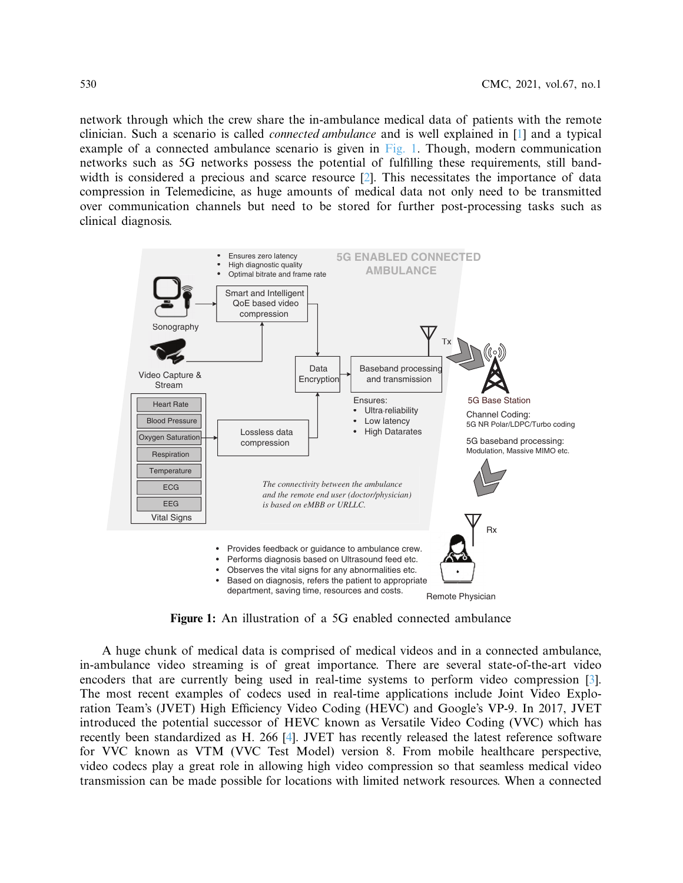network through which the crew share the in-ambulance medical data of patients with the remote clinician. Such a scenario is called *connected ambulance* and is well explained in [\[1\]](#page-16-0) and a typical example of a connected ambulance scenario is given in [Fig. 1.](#page-1-0) Though, modern communication networks such as 5G networks possess the potential of fullling these requirements, still band-width is considered a precious and scarce resource [\[2\]](#page-16-1). This necessitates the importance of data compression in Telemedicine, as huge amounts of medical data not only need to be transmitted over communication channels but need to be stored for further post-processing tasks such as clinical diagnosis.



<span id="page-1-0"></span>**Figure 1:** An illustration of a 5G enabled connected ambulance

A huge chunk of medical data is comprised of medical videos and in a connected ambulance, in-ambulance video streaming is of great importance. There are several state-of-the-art video encoders that are currently being used in real-time systems to perform video compression [\[3\]](#page-17-0). The most recent examples of codecs used in real-time applications include Joint Video Exploration Team's (JVET) High Efficiency Video Coding (HEVC) and Google's VP-9. In 2017, JVET introduced the potential successor of HEVC known as Versatile Video Coding (VVC) which has recently been standardized as H. 266 [\[4\]](#page-17-1). JVET has recently released the latest reference software for VVC known as VTM (VVC Test Model) version 8. From mobile healthcare perspective, video codecs play a great role in allowing high video compression so that seamless medical video transmission can be made possible for locations with limited network resources. When a connected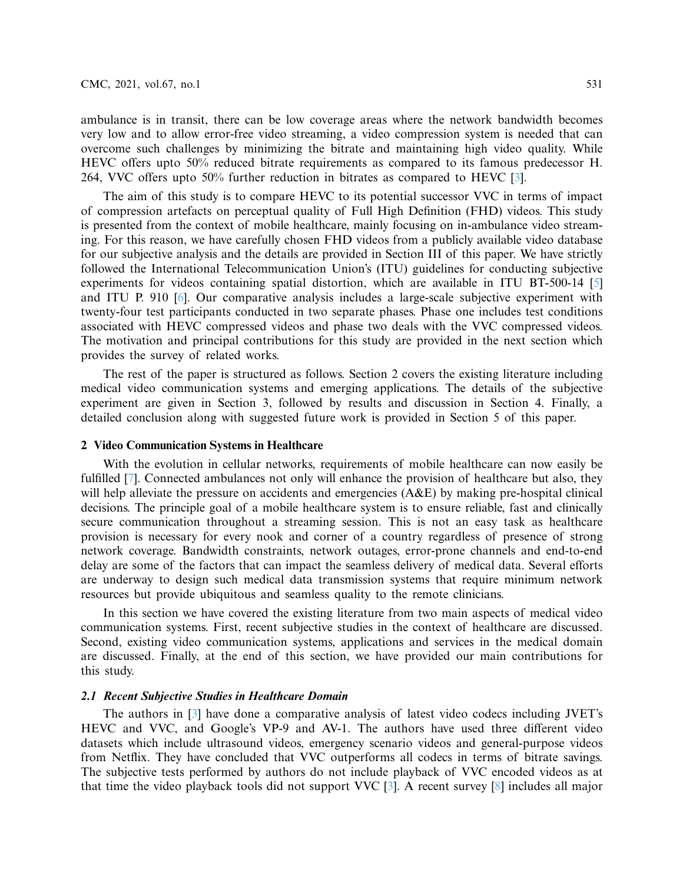ambulance is in transit, there can be low coverage areas where the network bandwidth becomes very low and to allow error-free video streaming, a video compression system is needed that can overcome such challenges by minimizing the bitrate and maintaining high video quality. While HEVC offers upto 50% reduced bitrate requirements as compared to its famous predecessor H. 264, VVC offers upto 50% further reduction in bitrates as compared to HEVC [\[3\]](#page-17-0).

The aim of this study is to compare HEVC to its potential successor VVC in terms of impact of compression artefacts on perceptual quality of Full High Definition (FHD) videos. This study is presented from the context of mobile healthcare, mainly focusing on in-ambulance video streaming. For this reason, we have carefully chosen FHD videos from a publicly available video database for our subjective analysis and the details are provided in Section III of this paper. We have strictly followed the International Telecommunication Union's (ITU) guidelines for conducting subjective experiments for videos containing spatial distortion, which are available in ITU BT-500-14 [\[5\]](#page-17-2) and ITU P. 910 [\[6\]](#page-17-3). Our comparative analysis includes a large-scale subjective experiment with twenty-four test participants conducted in two separate phases. Phase one includes test conditions associated with HEVC compressed videos and phase two deals with the VVC compressed videos. The motivation and principal contributions for this study are provided in the next section which provides the survey of related works.

The rest of the paper is structured as follows. Section 2 covers the existing literature including medical video communication systems and emerging applications. The details of the subjective experiment are given in Section 3, followed by results and discussion in Section 4. Finally, a detailed conclusion along with suggested future work is provided in Section 5 of this paper.

#### **2 Video Communication Systems in Healthcare**

With the evolution in cellular networks, requirements of mobile healthcare can now easily be fulfilled [\[7\]](#page-17-4). Connected ambulances not only will enhance the provision of healthcare but also, they will help alleviate the pressure on accidents and emergencies (A&E) by making pre-hospital clinical decisions. The principle goal of a mobile healthcare system is to ensure reliable, fast and clinically secure communication throughout a streaming session. This is not an easy task as healthcare provision is necessary for every nook and corner of a country regardless of presence of strong network coverage. Bandwidth constraints, network outages, error-prone channels and end-to-end delay are some of the factors that can impact the seamless delivery of medical data. Several efforts are underway to design such medical data transmission systems that require minimum network resources but provide ubiquitous and seamless quality to the remote clinicians.

In this section we have covered the existing literature from two main aspects of medical video communication systems. First, recent subjective studies in the context of healthcare are discussed. Second, existing video communication systems, applications and services in the medical domain are discussed. Finally, at the end of this section, we have provided our main contributions for this study.

#### **2.1 Recent Subjective Studies in Healthcare Domain**

The authors in [\[3\]](#page-17-0) have done a comparative analysis of latest video codecs including JVET's HEVC and VVC, and Google's VP-9 and AV-1. The authors have used three different video datasets which include ultrasound videos, emergency scenario videos and general-purpose videos from Netflix. They have concluded that VVC outperforms all codecs in terms of bitrate savings. The subjective tests performed by authors do not include playback of VVC encoded videos as at that time the video playback tools did not support VVC [\[3\]](#page-17-0). A recent survey [\[8\]](#page-17-5) includes all major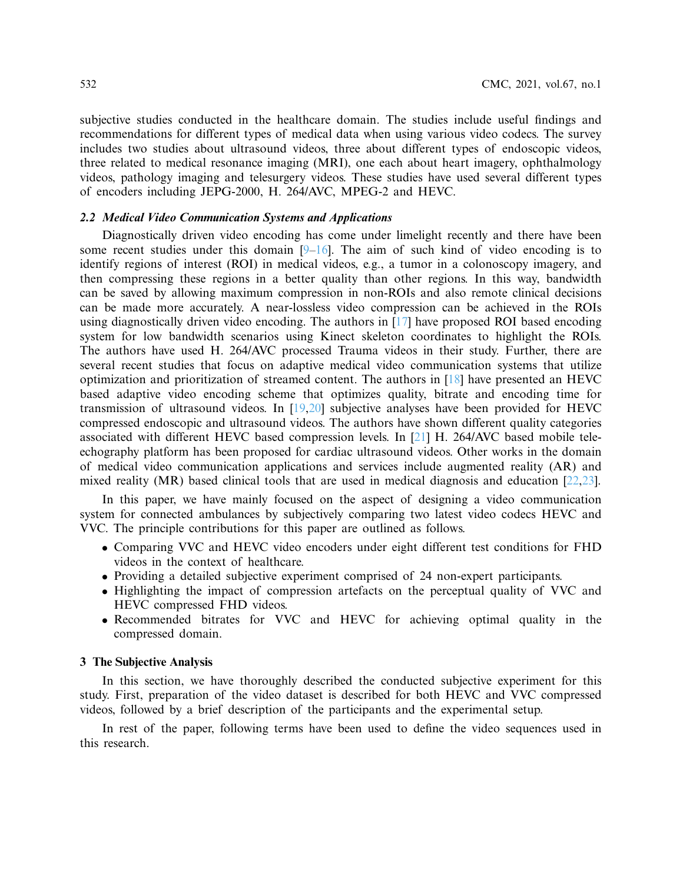subjective studies conducted in the healthcare domain. The studies include useful findings and recommendations for different types of medical data when using various video codecs. The survey includes two studies about ultrasound videos, three about different types of endoscopic videos, three related to medical resonance imaging (MRI), one each about heart imagery, ophthalmology videos, pathology imaging and telesurgery videos. These studies have used several different types of encoders including JEPG-2000, H. 264/AVC, MPEG-2 and HEVC.

## **2.2 Medical Video Communication Systems and Applications**

Diagnostically driven video encoding has come under limelight recently and there have been some recent studies under this domain  $[9-16]$ . The aim of such kind of video encoding is to identify regions of interest (ROI) in medical videos, e.g., a tumor in a colonoscopy imagery, and then compressing these regions in a better quality than other regions. In this way, bandwidth can be saved by allowing maximum compression in non-ROIs and also remote clinical decisions can be made more accurately. A near-lossless video compression can be achieved in the ROIs using diagnostically driven video encoding. The authors in [\[17\]](#page-17-8) have proposed ROI based encoding system for low bandwidth scenarios using Kinect skeleton coordinates to highlight the ROIs. The authors have used H. 264/AVC processed Trauma videos in their study. Further, there are several recent studies that focus on adaptive medical video communication systems that utilize optimization and prioritization of streamed content. The authors in [\[18\]](#page-17-9) have presented an HEVC based adaptive video encoding scheme that optimizes quality, bitrate and encoding time for transmission of ultrasound videos. In [\[19,](#page-17-10)[20\]](#page-17-11) subjective analyses have been provided for HEVC compressed endoscopic and ultrasound videos. The authors have shown different quality categories associated with different HEVC based compression levels. In [\[21\]](#page-18-0) H. 264/AVC based mobile teleechography platform has been proposed for cardiac ultrasound videos. Other works in the domain of medical video communication applications and services include augmented reality (AR) and mixed reality (MR) based clinical tools that are used in medical diagnosis and education  $[22,23]$  $[22,23]$ .

In this paper, we have mainly focused on the aspect of designing a video communication system for connected ambulances by subjectively comparing two latest video codecs HEVC and VVC. The principle contributions for this paper are outlined as follows.

- Comparing VVC and HEVC video encoders under eight different test conditions for FHD videos in the context of healthcare.
- Providing a detailed subjective experiment comprised of 24 non-expert participants.
- Highlighting the impact of compression artefacts on the perceptual quality of VVC and HEVC compressed FHD videos.
- Recommended bitrates for VVC and HEVC for achieving optimal quality in the compressed domain.

#### **3 The Subjective Analysis**

In this section, we have thoroughly described the conducted subjective experiment for this study. First, preparation of the video dataset is described for both HEVC and VVC compressed videos, followed by a brief description of the participants and the experimental setup.

In rest of the paper, following terms have been used to define the video sequences used in this research.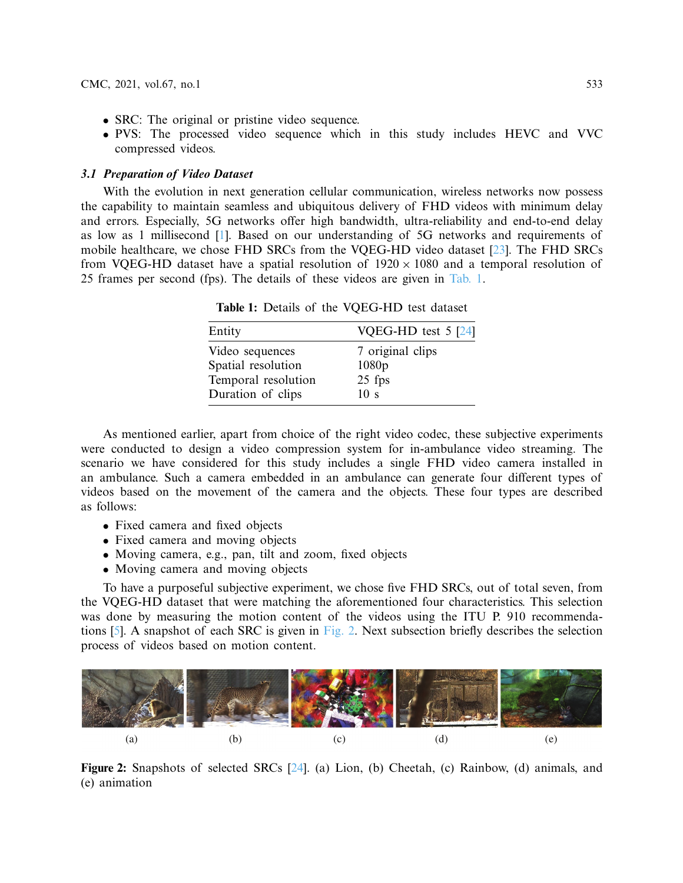- SRC: The original or pristine video sequence.
- PVS: The processed video sequence which in this study includes HEVC and VVC compressed videos.

## **3.1 Preparation of Video Dataset**

With the evolution in next generation cellular communication, wireless networks now possess the capability to maintain seamless and ubiquitous delivery of FHD videos with minimum delay and errors. Especially, 5G networks offer high bandwidth, ultra-reliability and end-to-end delay as low as 1 millisecond [\[1\]](#page-16-0). Based on our understanding of 5G networks and requirements of mobile healthcare, we chose FHD SRCs from the VQEG-HD video dataset [\[23\]](#page-18-2). The FHD SRCs from VQEG-HD dataset have a spatial resolution of  $1920 \times 1080$  and a temporal resolution of 25 frames per second (fps). The details of these videos are given in [Tab. 1.](#page-4-0)

| Entity              | VQEG-HD test $5$ [24] |
|---------------------|-----------------------|
| Video sequences     | 7 original clips      |
| Spatial resolution  | 1080p                 |
| Temporal resolution | $25$ fps              |
| Duration of clips   | 10 <sub>s</sub>       |

<span id="page-4-0"></span>**Table 1:** Details of the VQEG-HD test dataset

As mentioned earlier, apart from choice of the right video codec, these subjective experiments were conducted to design a video compression system for in-ambulance video streaming. The scenario we have considered for this study includes a single FHD video camera installed in an ambulance. Such a camera embedded in an ambulance can generate four different types of videos based on the movement of the camera and the objects. These four types are described as follows:

- Fixed camera and fixed objects
- Fixed camera and moving objects
- $\bullet$  Moving camera, e.g., pan, tilt and zoom, fixed objects
- Moving camera and moving objects

To have a purposeful subjective experiment, we chose five FHD SRCs, out of total seven, from the VQEG-HD dataset that were matching the aforementioned four characteristics. This selection was done by measuring the motion content of the videos using the ITU P. 910 recommendations  $[5]$ . A snapshot of each SRC is given in [Fig. 2.](#page-4-1) Next subsection briefly describes the selection process of videos based on motion content.



<span id="page-4-1"></span>**Figure 2:** Snapshots of selected SRCs [\[24\]](#page-18-3). (a) Lion, (b) Cheetah, (c) Rainbow, (d) animals, and (e) animation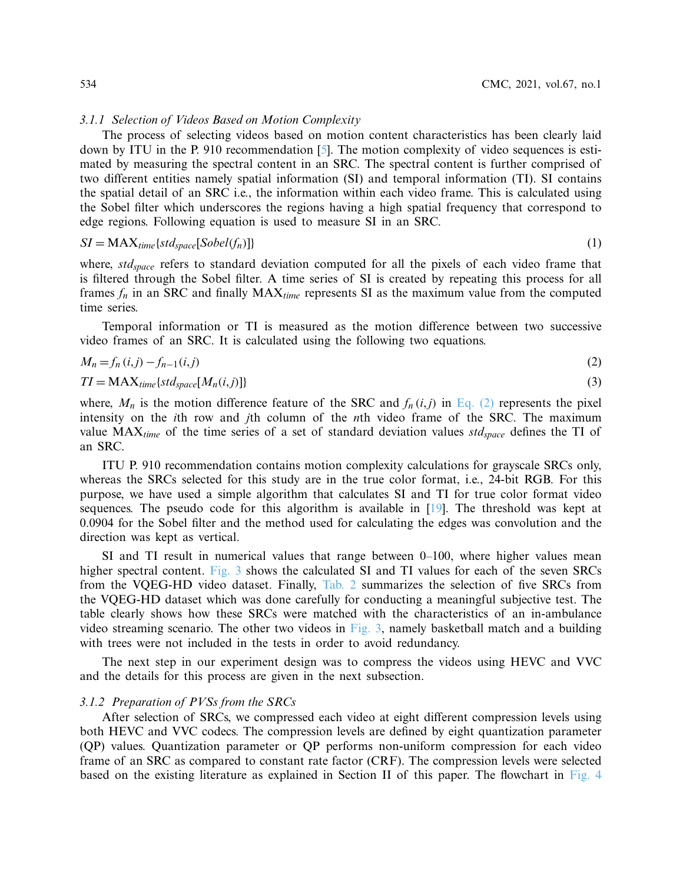#### *3.1.1 Selection of Videos Based on Motion Complexity*

The process of selecting videos based on motion content characteristics has been clearly laid down by ITU in the P. 910 recommendation [\[5\]](#page-17-2). The motion complexity of video sequences is estimated by measuring the spectral content in an SRC. The spectral content is further comprised of two different entities namely spatial information (SI) and temporal information (TI). SI contains the spatial detail of an SRC i.e., the information within each video frame. This is calculated using the Sobel filter which underscores the regions having a high spatial frequency that correspond to edge regions. Following equation is used to measure SI in an SRC.

$$
SI = MAX_{time}\{std_{space}[\text{Sobel}(f_n)]\}\tag{1}
$$

where, *stdspace* refers to standard deviation computed for all the pixels of each video frame that is filtered through the Sobel filter. A time series of SI is created by repeating this process for all frames  $f_n$  in an SRC and finally  $MAX_{time}$  represents SI as the maximum value from the computed time series.

Temporal information or TI is measured as the motion difference between two successive video frames of an SRC. It is calculated using the following two equations.

<span id="page-5-0"></span>
$$
M_n = f_n(i,j) - f_{n-1}(i,j) \tag{2}
$$

$$
TI = MAX_{time}\{std_{space}[M_n(i,j)]\}
$$
\n(3)

where,  $M_n$  is the motion difference feature of the SRC and  $f_n(i,j)$  in [Eq. \(2\)](#page-5-0) represents the pixel intensity on the *i*th row and *j*th column of the *n*th video frame of the SRC. The maximum value  $MAX_{time}$  of the time series of a set of standard deviation values  $std_{space}$  defines the TI of an SRC.

ITU P. 910 recommendation contains motion complexity calculations for grayscale SRCs only, whereas the SRCs selected for this study are in the true color format, i.e., 24-bit RGB. For this purpose, we have used a simple algorithm that calculates SI and TI for true color format video sequences. The pseudo code for this algorithm is available in [\[19\]](#page-17-10). The threshold was kept at 0.0904 for the Sobel filter and the method used for calculating the edges was convolution and the direction was kept as vertical.

SI and TI result in numerical values that range between 0–100, where higher values mean higher spectral content. [Fig. 3](#page-6-0) shows the calculated SI and TI values for each of the seven SRCs from the VQEG-HD video dataset. Finally, [Tab. 2](#page-6-1) summarizes the selection of five SRCs from the VQEG-HD dataset which was done carefully for conducting a meaningful subjective test. The table clearly shows how these SRCs were matched with the characteristics of an in-ambulance video streaming scenario. The other two videos in [Fig. 3,](#page-6-0) namely basketball match and a building with trees were not included in the tests in order to avoid redundancy.

The next step in our experiment design was to compress the videos using HEVC and VVC and the details for this process are given in the next subsection.

## *3.1.2 Preparation of PVSs from the SRCs*

After selection of SRCs, we compressed each video at eight different compression levels using both HEVC and VVC codecs. The compression levels are defined by eight quantization parameter (QP) values. Quantization parameter or QP performs non-uniform compression for each video frame of an SRC as compared to constant rate factor (CRF). The compression levels were selected based on the existing literature as explained in Section II of this paper. The flowchart in [Fig. 4](#page-7-0)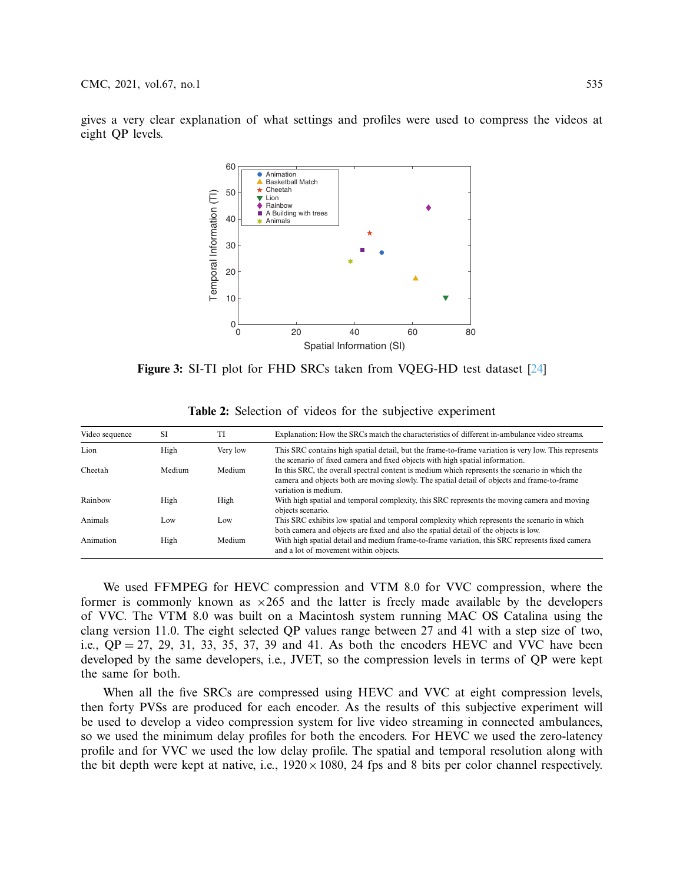gives a very clear explanation of what settings and profiles were used to compress the videos at eight QP levels.



**Figure 3:** SI-TI plot for FHD SRCs taken from VQEG-HD test dataset [\[24\]](#page-18-3)

| Video sequence | SI     | TI       | Explanation: How the SRCs match the characteristics of different in-ambulance video streams.                                                                                                                          |
|----------------|--------|----------|-----------------------------------------------------------------------------------------------------------------------------------------------------------------------------------------------------------------------|
| Lion           | High   | Very low | This SRC contains high spatial detail, but the frame-to-frame variation is very low. This represents<br>the scenario of fixed camera and fixed objects with high spatial information.                                 |
| Cheetah        | Medium | Medium   | In this SRC, the overall spectral content is medium which represents the scenario in which the<br>camera and objects both are moving slowly. The spatial detail of objects and frame-to-frame<br>variation is medium. |
| Rainbow        | High   | High     | With high spatial and temporal complexity, this SRC represents the moving camera and moving<br>objects scenario.                                                                                                      |
| Animals        | Low    | Low      | This SRC exhibits low spatial and temporal complexity which represents the scenario in which<br>both camera and objects are fixed and also the spatial detail of the objects is low.                                  |
| Animation      | High   | Medium   | With high spatial detail and medium frame-to-frame variation, this SRC represents fixed camera<br>and a lot of movement within objects.                                                                               |

<span id="page-6-1"></span><span id="page-6-0"></span>**Table 2:** Selection of videos for the subjective experiment

We used FFMPEG for HEVC compression and VTM 8.0 for VVC compression, where the former is commonly known as  $\times 265$  and the latter is freely made available by the developers of VVC. The VTM 8.0 was built on a Macintosh system running MAC OS Catalina using the clang version 11.0. The eight selected QP values range between 27 and 41 with a step size of two, i.e.,  $OP = 27$ , 29, 31, 33, 35, 37, 39 and 41. As both the encoders HEVC and VVC have been developed by the same developers, i.e., JVET, so the compression levels in terms of QP were kept the same for both.

When all the five SRCs are compressed using HEVC and VVC at eight compression levels, then forty PVSs are produced for each encoder. As the results of this subjective experiment will be used to develop a video compression system for live video streaming in connected ambulances, so we used the minimum delay profiles for both the encoders. For HEVC we used the zero-latency profile and for VVC we used the low delay profile. The spatial and temporal resolution along with the bit depth were kept at native, i.e.,  $1920 \times 1080$ , 24 fps and 8 bits per color channel respectively.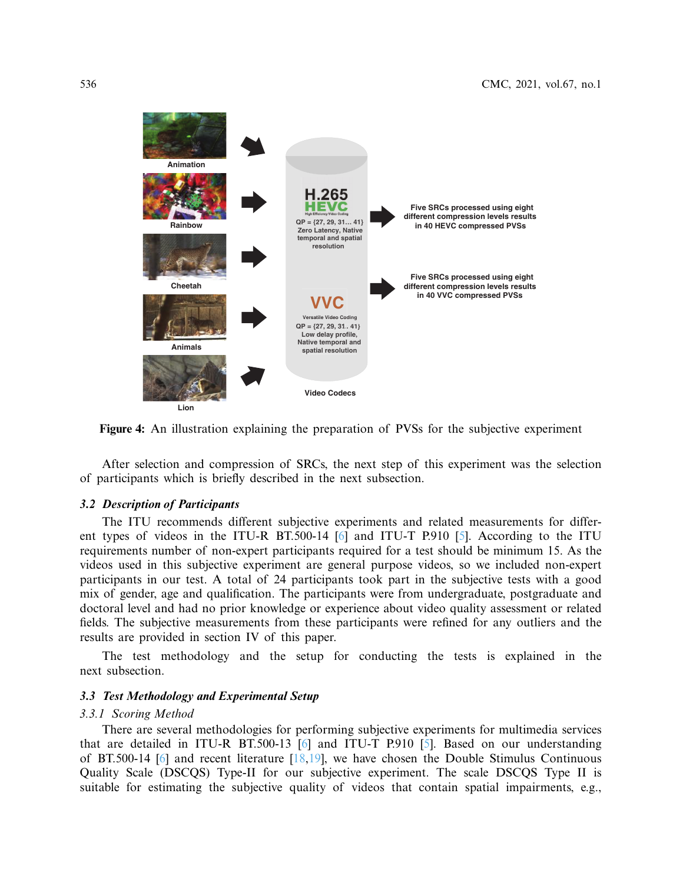

**Figure 4:** An illustration explaining the preparation of PVSs for the subjective experiment

<span id="page-7-0"></span>After selection and compression of SRCs, the next step of this experiment was the selection of participants which is briefly described in the next subsection.

## **3.2 Description of Participants**

The ITU recommends different subjective experiments and related measurements for differ-ent types of videos in the ITU-R BT.500-14 [\[6\]](#page-17-3) and ITU-T P.910 [\[5\]](#page-17-2). According to the ITU requirements number of non-expert participants required for a test should be minimum 15. As the videos used in this subjective experiment are general purpose videos, so we included non-expert participants in our test. A total of 24 participants took part in the subjective tests with a good mix of gender, age and qualification. The participants were from undergraduate, postgraduate and doctoral level and had no prior knowledge or experience about video quality assessment or related fields. The subjective measurements from these participants were refined for any outliers and the results are provided in section IV of this paper.

The test methodology and the setup for conducting the tests is explained in the next subsection.

## **3.3 Test Methodology and Experimental Setup**

#### *3.3.1 Scoring Method*

There are several methodologies for performing subjective experiments for multimedia services that are detailed in ITU-R BT.500-13 [\[6\]](#page-17-3) and ITU-T P.910 [\[5\]](#page-17-2). Based on our understanding of BT.500-14 [\[6\]](#page-17-3) and recent literature  $[18,19]$  $[18,19]$ , we have chosen the Double Stimulus Continuous Quality Scale (DSCQS) Type-II for our subjective experiment. The scale DSCQS Type II is suitable for estimating the subjective quality of videos that contain spatial impairments, e.g.,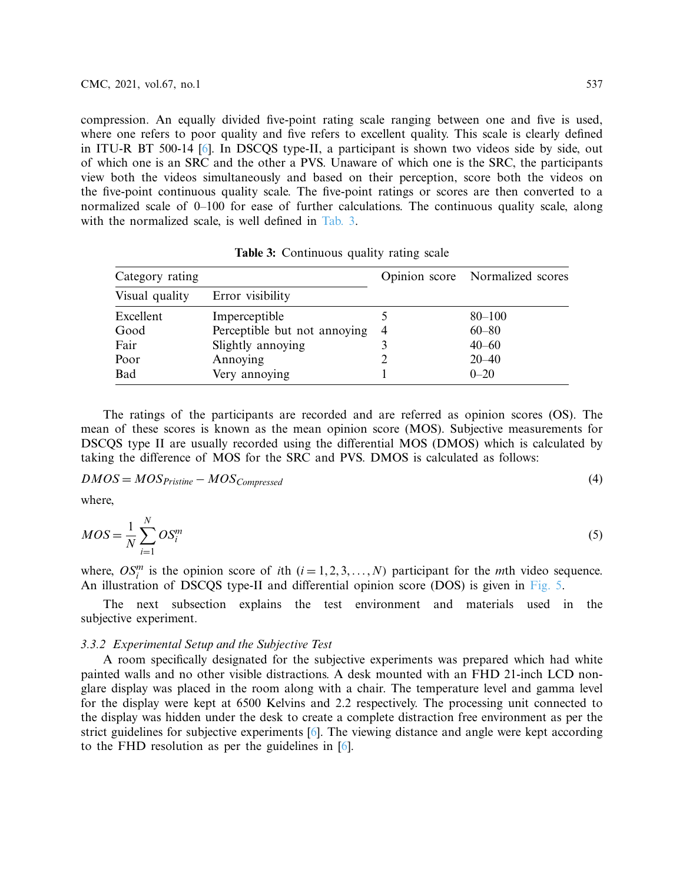compression. An equally divided five-point rating scale ranging between one and five is used, where one refers to poor quality and five refers to excellent quality. This scale is clearly defined in ITU-R BT 500-14 [\[6\]](#page-17-3). In DSCQS type-II, a participant is shown two videos side by side, out of which one is an SRC and the other a PVS. Unaware of which one is the SRC, the participants view both the videos simultaneously and based on their perception, score both the videos on the five-point continuous quality scale. The five-point ratings or scores are then converted to a normalized scale of 0–100 for ease of further calculations. The continuous quality scale, along with the normalized scale, is well defined in [Tab. 3.](#page-8-0)

| Category rating |                              |   | Opinion score Normalized scores |  |
|-----------------|------------------------------|---|---------------------------------|--|
| Visual quality  | Error visibility             |   |                                 |  |
| Excellent       | Imperceptible                |   | $80 - 100$                      |  |
| Good            | Perceptible but not annoying | 4 | $60 - 80$                       |  |
| Fair            | Slightly annoying            |   | $40 - 60$                       |  |
| Poor            | Annoying                     |   | $20 - 40$                       |  |
| Bad             | Very annoying                |   | $0 - 20$                        |  |

<span id="page-8-0"></span>**Table 3:** Continuous quality rating scale

The ratings of the participants are recorded and are referred as opinion scores (OS). The mean of these scores is known as the mean opinion score (MOS). Subjective measurements for DSCQS type II are usually recorded using the differential MOS (DMOS) which is calculated by taking the difference of MOS for the SRC and PVS. DMOS is calculated as follows:

$$
DMOS = MOS_{Pristine} - MOS_{Compressed} \tag{4}
$$

where,

$$
MOS = \frac{1}{N} \sum_{i=1}^{N} OS_i^m
$$
\n<sup>(5)</sup>

where,  $OS_i^m$  is the opinion score of *i*th  $(i = 1, 2, 3, ..., N)$  participant for the *m*th video sequence. An illustration of DSCQS type-II and differential opinion score (DOS) is given in [Fig. 5.](#page-9-0)

The next subsection explains the test environment and materials used in the subjective experiment.

## *3.3.2 Experimental Setup and the Subjective Test*

A room specifically designated for the subjective experiments was prepared which had white painted walls and no other visible distractions. A desk mounted with an FHD 21-inch LCD nonglare display was placed in the room along with a chair. The temperature level and gamma level for the display were kept at 6500 Kelvins and 2.2 respectively. The processing unit connected to the display was hidden under the desk to create a complete distraction free environment as per the strict guidelines for subjective experiments [\[6\]](#page-17-3). The viewing distance and angle were kept according to the FHD resolution as per the guidelines in [\[6\]](#page-17-3).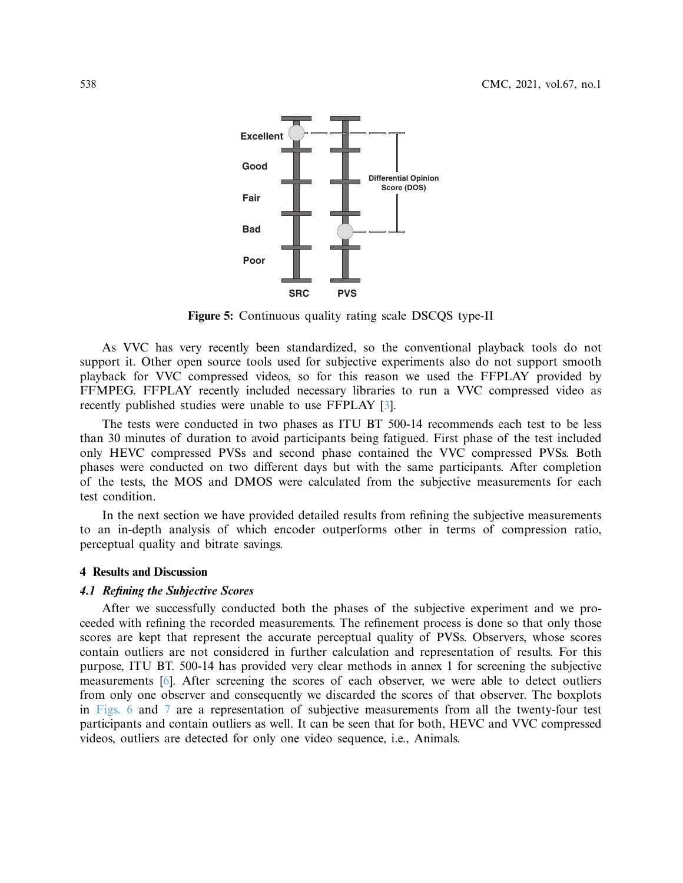

<span id="page-9-0"></span>**Figure 5:** Continuous quality rating scale DSCQS type-II

As VVC has very recently been standardized, so the conventional playback tools do not support it. Other open source tools used for subjective experiments also do not support smooth playback for VVC compressed videos, so for this reason we used the FFPLAY provided by FFMPEG. FFPLAY recently included necessary libraries to run a VVC compressed video as recently published studies were unable to use FFPLAY [\[3\]](#page-17-0).

The tests were conducted in two phases as ITU BT 500-14 recommends each test to be less than 30 minutes of duration to avoid participants being fatigued. First phase of the test included only HEVC compressed PVSs and second phase contained the VVC compressed PVSs. Both phases were conducted on two different days but with the same participants. After completion of the tests, the MOS and DMOS were calculated from the subjective measurements for each test condition.

In the next section we have provided detailed results from refining the subjective measurements to an in-depth analysis of which encoder outperforms other in terms of compression ratio, perceptual quality and bitrate savings.

### **4 Results and Discussion**

## **4.1 Refining the Subjective Scores**

After we successfully conducted both the phases of the subjective experiment and we proceeded with refining the recorded measurements. The refinement process is done so that only those scores are kept that represent the accurate perceptual quality of PVSs. Observers, whose scores contain outliers are not considered in further calculation and representation of results. For this purpose, ITU BT. 500-14 has provided very clear methods in annex 1 for screening the subjective measurements [\[6\]](#page-17-3). After screening the scores of each observer, we were able to detect outliers from only one observer and consequently we discarded the scores of that observer. The boxplots in [Figs. 6](#page-10-0) and [7](#page-11-0) are a representation of subjective measurements from all the twenty-four test participants and contain outliers as well. It can be seen that for both, HEVC and VVC compressed videos, outliers are detected for only one video sequence, i.e., Animals.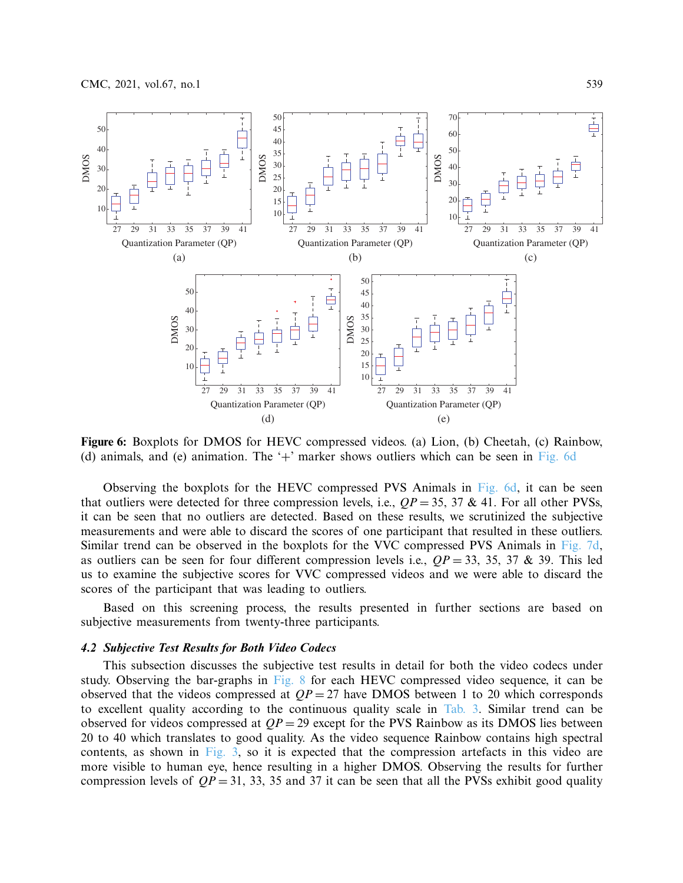

<span id="page-10-0"></span>**Figure 6:** Boxplots for DMOS for HEVC compressed videos. (a) Lion, (b) Cheetah, (c) Rainbow, (d) animals, and (e) animation. The '+' marker shows outliers which can be seen in [Fig. 6d](#page-10-0)

Observing the boxplots for the HEVC compressed PVS Animals in [Fig. 6d,](#page-10-0) it can be seen that outliers were detected for three compression levels, i.e.,  $QP = 35$ ,  $37 \& 41$ . For all other PVSs, it can be seen that no outliers are detected. Based on these results, we scrutinized the subjective measurements and were able to discard the scores of one participant that resulted in these outliers. Similar trend can be observed in the boxplots for the VVC compressed PVS Animals in [Fig. 7d,](#page-11-0) as outliers can be seen for four different compression levels i.e.,  $QP = 33$ , 35, 37 & 39. This led us to examine the subjective scores for VVC compressed videos and we were able to discard the scores of the participant that was leading to outliers.

Based on this screening process, the results presented in further sections are based on subjective measurements from twenty-three participants.

## **4.2 Subjective Test Results for Both Video Codecs**

This subsection discusses the subjective test results in detail for both the video codecs under study. Observing the bar-graphs in [Fig. 8](#page-12-0) for each HEVC compressed video sequence, it can be observed that the videos compressed at  $OP = 27$  have DMOS between 1 to 20 which corresponds to excellent quality according to the continuous quality scale in [Tab. 3.](#page-8-0) Similar trend can be observed for videos compressed at *QP* = 29 except for the PVS Rainbow as its DMOS lies between 20 to 40 which translates to good quality. As the video sequence Rainbow contains high spectral contents, as shown in [Fig. 3,](#page-6-0) so it is expected that the compression artefacts in this video are more visible to human eye, hence resulting in a higher DMOS. Observing the results for further compression levels of  $QP = 31, 33, 35$  and 37 it can be seen that all the PVSs exhibit good quality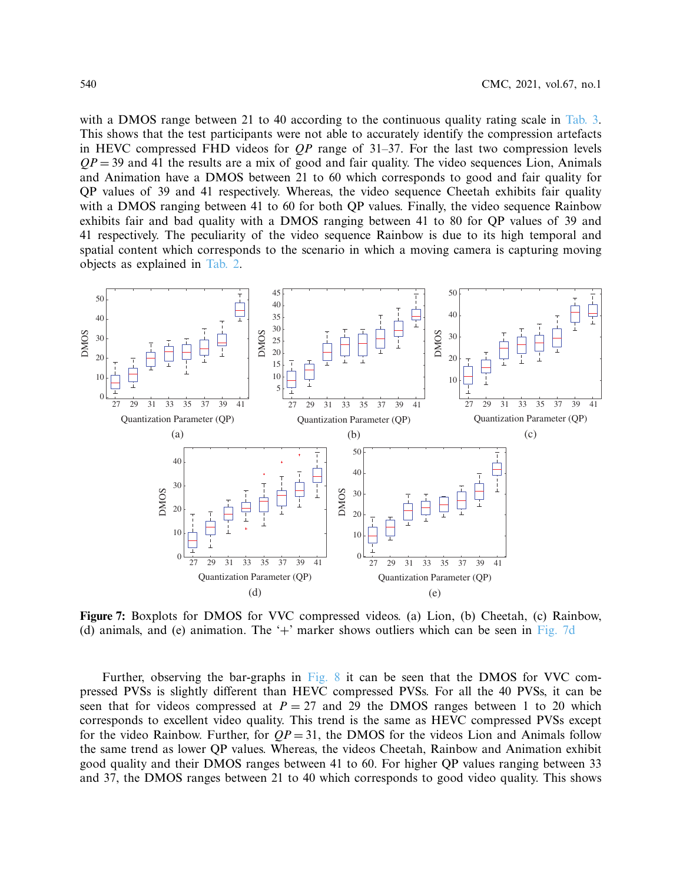with a DMOS range between 21 to 40 according to the continuous quality rating scale in [Tab. 3.](#page-8-0) This shows that the test participants were not able to accurately identify the compression artefacts in HEVC compressed FHD videos for *QP* range of 31–37. For the last two compression levels  $QP = 39$  and 41 the results are a mix of good and fair quality. The video sequences Lion, Animals and Animation have a DMOS between 21 to 60 which corresponds to good and fair quality for QP values of 39 and 41 respectively. Whereas, the video sequence Cheetah exhibits fair quality with a DMOS ranging between 41 to 60 for both QP values. Finally, the video sequence Rainbow exhibits fair and bad quality with a DMOS ranging between 41 to 80 for QP values of 39 and 41 respectively. The peculiarity of the video sequence Rainbow is due to its high temporal and spatial content which corresponds to the scenario in which a moving camera is capturing moving objects as explained in [Tab. 2.](#page-6-1)



<span id="page-11-0"></span>**Figure 7:** Boxplots for DMOS for VVC compressed videos. (a) Lion, (b) Cheetah, (c) Rainbow, (d) animals, and (e) animation. The  $+$  marker shows outliers which can be seen in [Fig. 7d](#page-11-0)

Further, observing the bar-graphs in [Fig. 8](#page-12-0) it can be seen that the DMOS for VVC compressed PVSs is slightly different than HEVC compressed PVSs. For all the 40 PVSs, it can be seen that for videos compressed at  $P = 27$  and 29 the DMOS ranges between 1 to 20 which corresponds to excellent video quality. This trend is the same as HEVC compressed PVSs except for the video Rainbow. Further, for  $QP = 31$ , the DMOS for the videos Lion and Animals follow the same trend as lower QP values. Whereas, the videos Cheetah, Rainbow and Animation exhibit good quality and their DMOS ranges between 41 to 60. For higher QP values ranging between 33 and 37, the DMOS ranges between 21 to 40 which corresponds to good video quality. This shows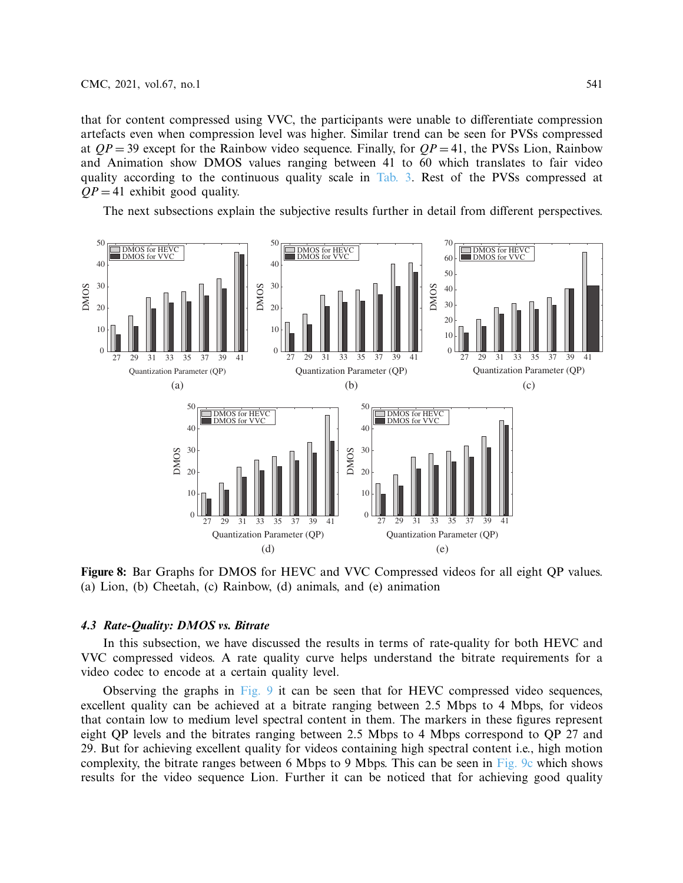that for content compressed using VVC, the participants were unable to differentiate compression artefacts even when compression level was higher. Similar trend can be seen for PVSs compressed at  $QP = 39$  except for the Rainbow video sequence. Finally, for  $QP = 41$ , the PVSs Lion, Rainbow and Animation show DMOS values ranging between 41 to 60 which translates to fair video quality according to the continuous quality scale in [Tab. 3.](#page-8-0) Rest of the PVSs compressed at  $QP = 41$  exhibit good quality.

The next subsections explain the subjective results further in detail from different perspectives.



<span id="page-12-0"></span>**Figure 8:** Bar Graphs for DMOS for HEVC and VVC Compressed videos for all eight QP values. (a) Lion, (b) Cheetah, (c) Rainbow, (d) animals, and (e) animation

### **4.3 Rate-Quality: DMOS vs. Bitrate**

In this subsection, we have discussed the results in terms of rate-quality for both HEVC and VVC compressed videos. A rate quality curve helps understand the bitrate requirements for a video codec to encode at a certain quality level.

Observing the graphs in [Fig. 9](#page-13-0) it can be seen that for HEVC compressed video sequences, excellent quality can be achieved at a bitrate ranging between 2.5 Mbps to 4 Mbps, for videos that contain low to medium level spectral content in them. The markers in these figures represent eight QP levels and the bitrates ranging between 2.5 Mbps to 4 Mbps correspond to QP 27 and 29. But for achieving excellent quality for videos containing high spectral content i.e., high motion complexity, the bitrate ranges between 6 Mbps to 9 Mbps. This can be seen in [Fig. 9c](#page-13-0) which shows results for the video sequence Lion. Further it can be noticed that for achieving good quality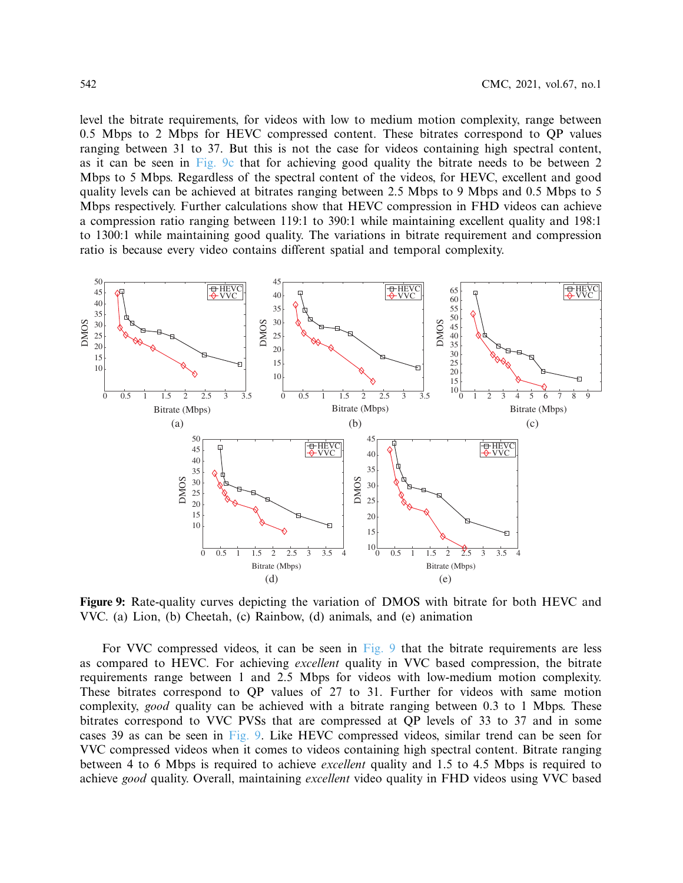level the bitrate requirements, for videos with low to medium motion complexity, range between 0.5 Mbps to 2 Mbps for HEVC compressed content. These bitrates correspond to QP values ranging between 31 to 37. But this is not the case for videos containing high spectral content, as it can be seen in [Fig. 9c](#page-13-0) that for achieving good quality the bitrate needs to be between 2 Mbps to 5 Mbps. Regardless of the spectral content of the videos, for HEVC, excellent and good quality levels can be achieved at bitrates ranging between 2.5 Mbps to 9 Mbps and 0.5 Mbps to 5 Mbps respectively. Further calculations show that HEVC compression in FHD videos can achieve a compression ratio ranging between 119:1 to 390:1 while maintaining excellent quality and 198:1 to 1300:1 while maintaining good quality. The variations in bitrate requirement and compression ratio is because every video contains different spatial and temporal complexity.



<span id="page-13-0"></span>**Figure 9:** Rate-quality curves depicting the variation of DMOS with bitrate for both HEVC and VVC. (a) Lion, (b) Cheetah, (c) Rainbow, (d) animals, and (e) animation

For VVC compressed videos, it can be seen in [Fig. 9](#page-13-0) that the bitrate requirements are less as compared to HEVC. For achieving *excellent* quality in VVC based compression, the bitrate requirements range between 1 and 2.5 Mbps for videos with low-medium motion complexity. These bitrates correspond to QP values of 27 to 31. Further for videos with same motion complexity, *good* quality can be achieved with a bitrate ranging between 0.3 to 1 Mbps. These bitrates correspond to VVC PVSs that are compressed at QP levels of 33 to 37 and in some cases 39 as can be seen in [Fig. 9.](#page-13-0) Like HEVC compressed videos, similar trend can be seen for VVC compressed videos when it comes to videos containing high spectral content. Bitrate ranging between 4 to 6 Mbps is required to achieve *excellent* quality and 1.5 to 4.5 Mbps is required to achieve *good* quality. Overall, maintaining *excellent* video quality in FHD videos using VVC based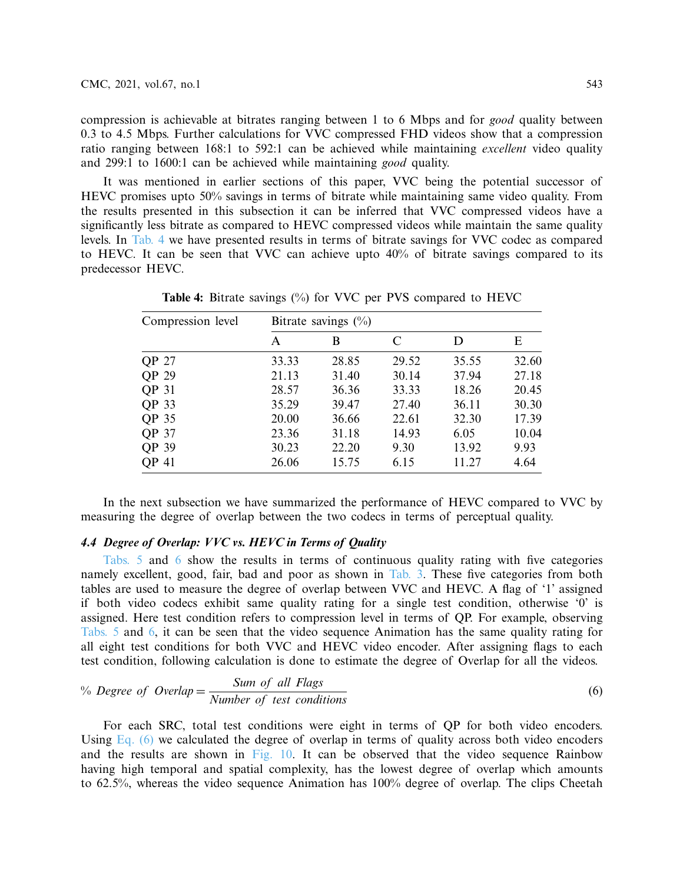compression is achievable at bitrates ranging between 1 to 6 Mbps and for *good* quality between 0.3 to 4.5 Mbps. Further calculations for VVC compressed FHD videos show that a compression ratio ranging between 168:1 to 592:1 can be achieved while maintaining *excellent* video quality and 299:1 to 1600:1 can be achieved while maintaining *good* quality.

It was mentioned in earlier sections of this paper, VVC being the potential successor of HEVC promises upto 50% savings in terms of bitrate while maintaining same video quality. From the results presented in this subsection it can be inferred that VVC compressed videos have a significantly less bitrate as compared to HEVC compressed videos while maintain the same quality levels. In [Tab. 4](#page-14-0) we have presented results in terms of bitrate savings for VVC codec as compared to HEVC. It can be seen that VVC can achieve upto 40% of bitrate savings compared to its predecessor HEVC.

| Compression level | Bitrate savings $(\%)$ |       |       |       |       |  |  |  |
|-------------------|------------------------|-------|-------|-------|-------|--|--|--|
|                   | A                      | B     | C     | D     | Е     |  |  |  |
| QP 27             | 33.33                  | 28.85 | 29.52 | 35.55 | 32.60 |  |  |  |
| QP 29             | 21.13                  | 31.40 | 30.14 | 37.94 | 27.18 |  |  |  |
| QP 31             | 28.57                  | 36.36 | 33.33 | 18.26 | 20.45 |  |  |  |
| QP 33             | 35.29                  | 39.47 | 27.40 | 36.11 | 30.30 |  |  |  |
| QP 35             | 20.00                  | 36.66 | 22.61 | 32.30 | 17.39 |  |  |  |
| QP 37             | 23.36                  | 31.18 | 14.93 | 6.05  | 10.04 |  |  |  |
| QP 39             | 30.23                  | 22.20 | 9.30  | 13.92 | 9.93  |  |  |  |
| <b>OP 41</b>      | 26.06                  | 15.75 | 6.15  | 11.27 | 4.64  |  |  |  |

<span id="page-14-0"></span>**Table 4:** Bitrate savings (%) for VVC per PVS compared to HEVC

In the next subsection we have summarized the performance of HEVC compared to VVC by measuring the degree of overlap between the two codecs in terms of perceptual quality.

## **4.4 Degree of Overlap: VVC vs. HEVC in Terms of Quality**

[Tabs. 5](#page-15-0) and [6](#page-15-1) show the results in terms of continuous quality rating with five categories namely excellent, good, fair, bad and poor as shown in [Tab. 3.](#page-8-0) These five categories from both tables are used to measure the degree of overlap between VVC and HEVC. A flag of '1' assigned if both video codecs exhibit same quality rating for a single test condition, otherwise '0' is assigned. Here test condition refers to compression level in terms of QP. For example, observing [Tabs. 5](#page-15-0) and [6,](#page-15-1) it can be seen that the video sequence Animation has the same quality rating for all eight test conditions for both VVC and HEVC video encoder. After assigning flags to each test condition, following calculation is done to estimate the degree of Overlap for all the videos.

<span id="page-14-1"></span>
$$
\% \text{ Degree of Overlap} = \frac{\text{Sum of all Flags}}{\text{Number of test conditions}}\tag{6}
$$

For each SRC, total test conditions were eight in terms of QP for both video encoders. Using Eq.  $(6)$  we calculated the degree of overlap in terms of quality across both video encoders and the results are shown in [Fig. 10.](#page-15-2) It can be observed that the video sequence Rainbow having high temporal and spatial complexity, has the lowest degree of overlap which amounts to 62.5%, whereas the video sequence Animation has 100% degree of overlap. The clips Cheetah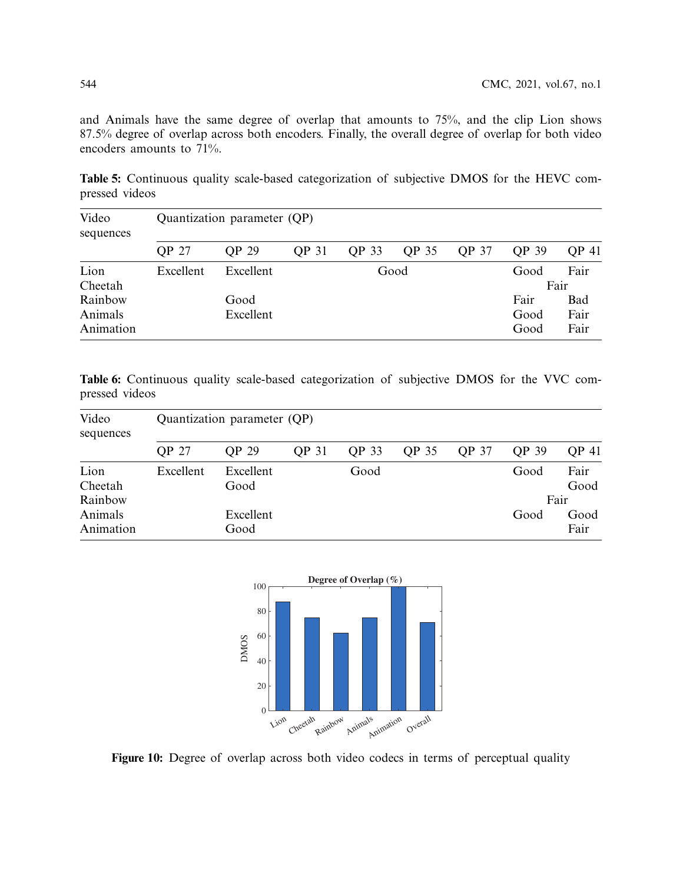and Animals have the same degree of overlap that amounts to 75%, and the clip Lion shows 87.5% degree of overlap across both encoders. Finally, the overall degree of overlap for both video encoders amounts to 71%.

<span id="page-15-0"></span>**Table 5:** Continuous quality scale-based categorization of subjective DMOS for the HEVC compressed videos

| Video<br>sequences              | Quantization parameter (QP) |                   |              |              |              |              |                      |                     |  |
|---------------------------------|-----------------------------|-------------------|--------------|--------------|--------------|--------------|----------------------|---------------------|--|
|                                 | <b>OP 27</b>                | OP 29             | <b>QP 31</b> | <b>QP 33</b> | <b>OP 35</b> | <b>QP 37</b> | OP 39                | <b>QP 41</b>        |  |
| Lion<br>Cheetah                 | Excellent                   | Excellent         | Good         |              |              |              | Good                 | Fair<br>Fair        |  |
| Rainbow<br>Animals<br>Animation |                             | Good<br>Excellent |              |              |              |              | Fair<br>Good<br>Good | Bad<br>Fair<br>Fair |  |

<span id="page-15-1"></span>**Table 6:** Continuous quality scale-based categorization of subjective DMOS for the VVC compressed videos

| Quantization parameter (QP) |              |              |              |              |              |              |              |  |
|-----------------------------|--------------|--------------|--------------|--------------|--------------|--------------|--------------|--|
| <b>QP 27</b>                | <b>OP 29</b> | <b>QP 31</b> | <b>QP 33</b> | <b>OP 35</b> | <b>QP 37</b> | <b>QP 39</b> | <b>OP 41</b> |  |
| Excellent                   | Excellent    |              | Good         |              |              | Good         | Fair         |  |
|                             | Good         |              |              |              |              |              | Good         |  |
|                             |              |              |              |              |              |              | Fair         |  |
|                             | Excellent    |              |              |              |              | Good         | Good<br>Fair |  |
|                             |              | Good         |              |              |              |              |              |  |



<span id="page-15-2"></span>Figure 10: Degree of overlap across both video codecs in terms of perceptual quality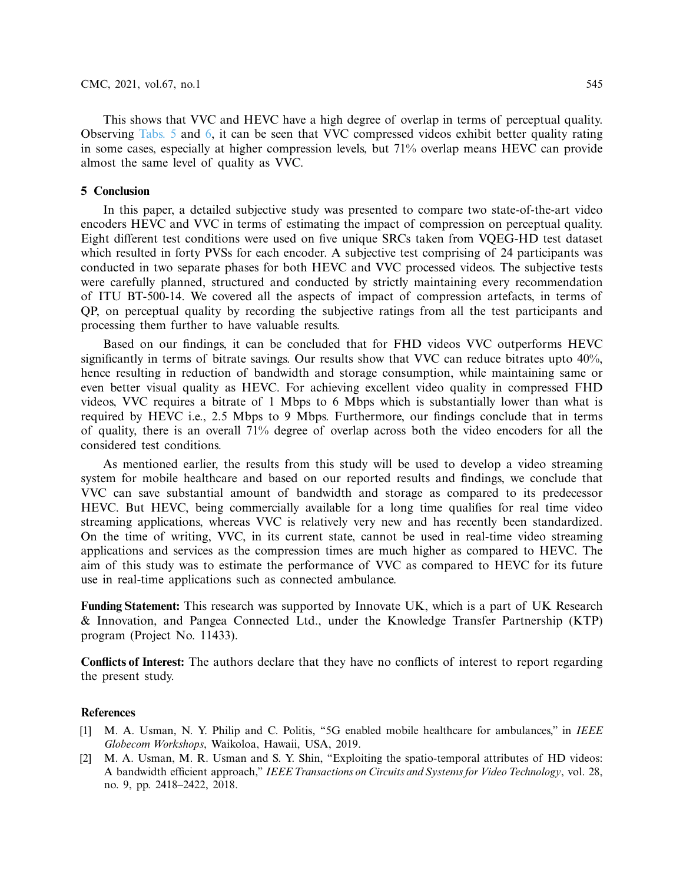This shows that VVC and HEVC have a high degree of overlap in terms of perceptual quality. Observing [Tabs. 5](#page-15-0) and [6,](#page-15-1) it can be seen that VVC compressed videos exhibit better quality rating in some cases, especially at higher compression levels, but 71% overlap means HEVC can provide almost the same level of quality as VVC.

## **5 Conclusion**

In this paper, a detailed subjective study was presented to compare two state-of-the-art video encoders HEVC and VVC in terms of estimating the impact of compression on perceptual quality. Eight different test conditions were used on five unique SRCs taken from VQEG-HD test dataset which resulted in forty PVSs for each encoder. A subjective test comprising of 24 participants was conducted in two separate phases for both HEVC and VVC processed videos. The subjective tests were carefully planned, structured and conducted by strictly maintaining every recommendation of ITU BT-500-14. We covered all the aspects of impact of compression artefacts, in terms of QP, on perceptual quality by recording the subjective ratings from all the test participants and processing them further to have valuable results.

Based on our findings, it can be concluded that for FHD videos VVC outperforms HEVC significantly in terms of bitrate savings. Our results show that VVC can reduce bitrates upto  $40\%$ , hence resulting in reduction of bandwidth and storage consumption, while maintaining same or even better visual quality as HEVC. For achieving excellent video quality in compressed FHD videos, VVC requires a bitrate of 1 Mbps to 6 Mbps which is substantially lower than what is required by HEVC i.e., 2.5 Mbps to 9 Mbps. Furthermore, our findings conclude that in terms of quality, there is an overall 71% degree of overlap across both the video encoders for all the considered test conditions.

As mentioned earlier, the results from this study will be used to develop a video streaming system for mobile healthcare and based on our reported results and findings, we conclude that VVC can save substantial amount of bandwidth and storage as compared to its predecessor HEVC. But HEVC, being commercially available for a long time qualifies for real time video streaming applications, whereas VVC is relatively very new and has recently been standardized. On the time of writing, VVC, in its current state, cannot be used in real-time video streaming applications and services as the compression times are much higher as compared to HEVC. The aim of this study was to estimate the performance of VVC as compared to HEVC for its future use in real-time applications such as connected ambulance.

**Funding Statement:** This research was supported by Innovate UK, which is a part of UK Research & Innovation, and Pangea Connected Ltd., under the Knowledge Transfer Partnership (KTP) program (Project No. 11433).

**Conflicts of Interest:** The authors declare that they have no conflicts of interest to report regarding the present study.

## **References**

- <span id="page-16-0"></span>[1] M. A. Usman, N. Y. Philip and C. Politis, "5G enabled mobile healthcare for ambulances," in *IEEE Globecom Workshops*, Waikoloa, Hawaii, USA, 2019.
- <span id="page-16-1"></span>[2] M. A. Usman, M. R. Usman and S. Y. Shin, "Exploiting the spatio-temporal attributes of HD videos: A bandwidth efficient approach," *IEEE Transactions on Circuits and Systems for Video Technology*, vol. 28, no. 9, pp. 2418–2422, 2018.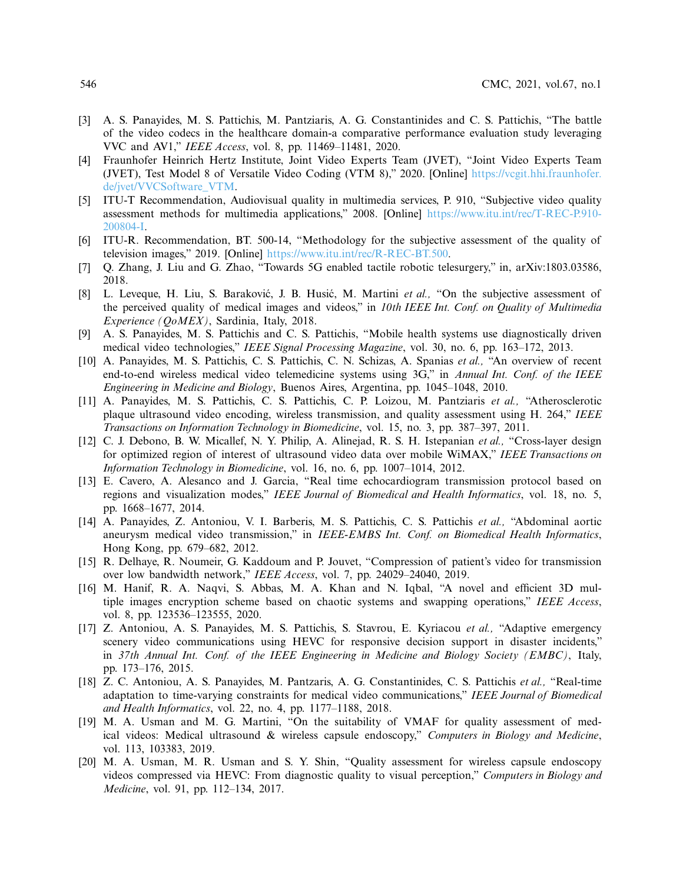- <span id="page-17-0"></span>[3] A. S. Panayides, M. S. Pattichis, M. Pantziaris, A. G. Constantinides and C. S. Pattichis, "The battle of the video codecs in the healthcare domain-a comparative performance evaluation study leveraging VVC and AV1," *IEEE Access*, vol. 8, pp. 11469–11481, 2020.
- <span id="page-17-1"></span>[4] Fraunhofer Heinrich Hertz Institute, Joint Video Experts Team (JVET), "Joint Video Experts Team (JVET), Test Model 8 of Versatile Video Coding (VTM 8)," 2020. [Online] [https://vcgit.hhi.fraunhofer.](https://vcgit.hhi.fraunhofer.de/jvet/VVCSoftware_VTM) [de/jvet/VVCSoftware\\_VTM.](https://vcgit.hhi.fraunhofer.de/jvet/VVCSoftware_VTM)
- <span id="page-17-2"></span>[5] ITU-T Recommendation, Audiovisual quality in multimedia services, P. 910, "Subjective video quality assessment methods for multimedia applications," 2008. [Online] [https://www.itu.int/rec/T-REC-P.910-](https://www.itu.int/rec/T-REC-P.910-200804-I) [200804-I.](https://www.itu.int/rec/T-REC-P.910-200804-I)
- <span id="page-17-3"></span>[6] ITU-R. Recommendation, BT. 500-14, "Methodology for the subjective assessment of the quality of television images," 2019. [Online] [https://www.itu.int/rec/R-REC-BT.500.](https://www.itu.int/rec/R-REC-BT.500)
- <span id="page-17-4"></span>[7] Q. Zhang, J. Liu and G. Zhao, "Towards 5G enabled tactile robotic telesurgery," in, arXiv:1803.03586, 2018.
- <span id="page-17-5"></span>[8] L. Leveque, H. Liu, S. Baraković, J. B. Husić, M. Martini et al., "On the subjective assessment of the perceived quality of medical images and videos," in *10th IEEE Int. Conf. on Quality of Multimedia Experience (QoMEX)*, Sardinia, Italy, 2018.
- <span id="page-17-6"></span>[9] A. S. Panayides, M. S. Pattichis and C. S. Pattichis, "Mobile health systems use diagnostically driven medical video technologies," *IEEE Signal Processing Magazine*, vol. 30, no. 6, pp. 163–172, 2013.
- [10] A. Panayides, M. S. Pattichis, C. S. Pattichis, C. N. Schizas, A. Spanias *et al.,* "An overview of recent end-to-end wireless medical video telemedicine systems using 3G," in *Annual Int. Conf. of the IEEE Engineering in Medicine and Biology*, Buenos Aires, Argentina, pp. 1045–1048, 2010.
- [11] A. Panayides, M. S. Pattichis, C. S. Pattichis, C. P. Loizou, M. Pantziaris *et al.,* "Atherosclerotic plaque ultrasound video encoding, wireless transmission, and quality assessment using H. 264," *IEEE Transactions on Information Technology in Biomedicine*, vol. 15, no. 3, pp. 387–397, 2011.
- [12] C. J. Debono, B. W. Micallef, N. Y. Philip, A. Alinejad, R. S. H. Istepanian *et al.,* "Cross-layer design for optimized region of interest of ultrasound video data over mobile WiMAX," *IEEE Transactions on Information Technology in Biomedicine*, vol. 16, no. 6, pp. 1007–1014, 2012.
- [13] E. Cavero, A. Alesanco and J. Garcia, "Real time echocardiogram transmission protocol based on regions and visualization modes," *IEEE Journal of Biomedical and Health Informatics*, vol. 18, no. 5, pp. 1668–1677, 2014.
- [14] A. Panayides, Z. Antoniou, V. I. Barberis, M. S. Pattichis, C. S. Pattichis *et al.,* "Abdominal aortic aneurysm medical video transmission," in *IEEE-EMBS Int. Conf. on Biomedical Health Informatics*, Hong Kong, pp. 679–682, 2012.
- [15] R. Delhaye, R. Noumeir, G. Kaddoum and P. Jouvet, "Compression of patient's video for transmission over low bandwidth network," *IEEE Access*, vol. 7, pp. 24029–24040, 2019.
- <span id="page-17-7"></span>[16] M. Hanif, R. A. Naqvi, S. Abbas, M. A. Khan and N. Iqbal, "A novel and efficient 3D multiple images encryption scheme based on chaotic systems and swapping operations," *IEEE Access*, vol. 8, pp. 123536–123555, 2020.
- <span id="page-17-8"></span>[17] Z. Antoniou, A. S. Panayides, M. S. Pattichis, S. Stavrou, E. Kyriacou *et al.,* "Adaptive emergency scenery video communications using HEVC for responsive decision support in disaster incidents," in *37th Annual Int. Conf. of the IEEE Engineering in Medicine and Biology Society (EMBC)*, Italy, pp. 173–176, 2015.
- <span id="page-17-9"></span>[18] Z. C. Antoniou, A. S. Panayides, M. Pantzaris, A. G. Constantinides, C. S. Pattichis *et al.,* "Real-time adaptation to time-varying constraints for medical video communications," *IEEE Journal of Biomedical and Health Informatics*, vol. 22, no. 4, pp. 1177–1188, 2018.
- <span id="page-17-10"></span>[19] M. A. Usman and M. G. Martini, "On the suitability of VMAF for quality assessment of medical videos: Medical ultrasound & wireless capsule endoscopy," *Computers in Biology and Medicine*, vol. 113, 103383, 2019.
- <span id="page-17-11"></span>[20] M. A. Usman, M. R. Usman and S. Y. Shin, "Quality assessment for wireless capsule endoscopy videos compressed via HEVC: From diagnostic quality to visual perception," *Computers in Biology and Medicine*, vol. 91, pp. 112–134, 2017.